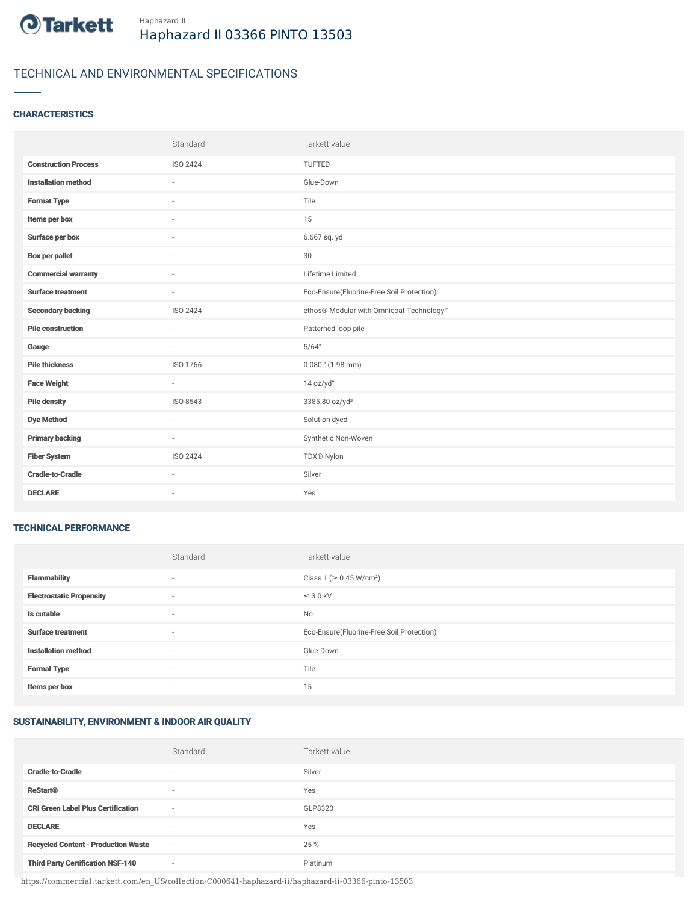

## TECHNICAL AND ENVIRONMENTAL SPECIFICATIONS

### **CHARACTERISTICS**

|                             | Standard                 | Tarkett value                             |
|-----------------------------|--------------------------|-------------------------------------------|
| <b>Construction Process</b> | ISO 2424                 | TUFTED                                    |
| <b>Installation method</b>  | $\overline{\phantom{a}}$ | Glue-Down                                 |
| <b>Format Type</b>          |                          | Tile                                      |
| Items per box               |                          | 15                                        |
| Surface per box             | $\sim$                   | 6.667 sq. yd                              |
| Box per pallet              | $\sim$                   | 30                                        |
| <b>Commercial warranty</b>  | $\overline{\phantom{a}}$ | Lifetime Limited                          |
| Surface treatment           | $\sim$                   | Eco-Ensure(Fluorine-Free Soil Protection) |
| <b>Secondary backing</b>    | ISO 2424                 | ethos® Modular with Omnicoat Technology™  |
| <b>Pile construction</b>    | $\sim$                   | Patterned loop pile                       |
| Gauge                       |                          | 5/64"                                     |
| <b>Pile thickness</b>       | ISO 1766                 | $0.080$ " $(1.98$ mm)                     |
| <b>Face Weight</b>          | $\sim$                   | 14 oz/yd <sup>2</sup>                     |
| <b>Pile density</b>         | ISO 8543                 | 3385.80 oz/yd <sup>3</sup>                |
| <b>Dye Method</b>           | $\sim$                   | Solution dyed                             |
| <b>Primary backing</b>      | $\sim$                   | Synthetic Non-Woven                       |
| <b>Fiber System</b>         | ISO 2424                 | TDX® Nylon                                |
| <b>Cradle-to-Cradle</b>     |                          | Silver                                    |
| <b>DECLARE</b>              | $\sim$                   | Yes                                       |

#### TECHNICAL PERFORMANCE

|                                 | Standard                 | Tarkett value                             |
|---------------------------------|--------------------------|-------------------------------------------|
| <b>Flammability</b>             | ۰                        | Class 1 (≥ 0.45 W/cm <sup>2</sup> )       |
| <b>Electrostatic Propensity</b> | $\overline{\phantom{a}}$ | $\leq$ 3.0 kV                             |
| Is cutable                      | $\sim$                   | <b>No</b>                                 |
| <b>Surface treatment</b>        | $\sim$                   | Eco-Ensure(Fluorine-Free Soil Protection) |
| <b>Installation method</b>      | $\sim$                   | Glue-Down                                 |
| <b>Format Type</b>              | $\overline{\phantom{a}}$ | Tile                                      |
| Items per box                   | $\overline{\phantom{a}}$ | 15                                        |

## SUSTAINABILITY, ENVIRONMENT & INDOOR AIR QUALITY

|                                            | Standard                 | Tarkett value |
|--------------------------------------------|--------------------------|---------------|
| <b>Cradle-to-Cradle</b>                    | $\overline{\phantom{a}}$ | Silver        |
| <b>ReStart®</b>                            | $\overline{\phantom{a}}$ | Yes           |
| <b>CRI Green Label Plus Certification</b>  | $\overline{\phantom{a}}$ | GLP8320       |
| <b>DECLARE</b>                             | $\overline{\phantom{a}}$ | Yes           |
| <b>Recycled Content - Production Waste</b> | $\sim$                   | 25 %          |
| <b>Third Party Certification NSF-140</b>   | $\sim$                   | Platinum      |

https://commercial.tarkett.com/en\_US/collection-C000641-haphazard-ii/haphazard-ii-03366-pinto-13503